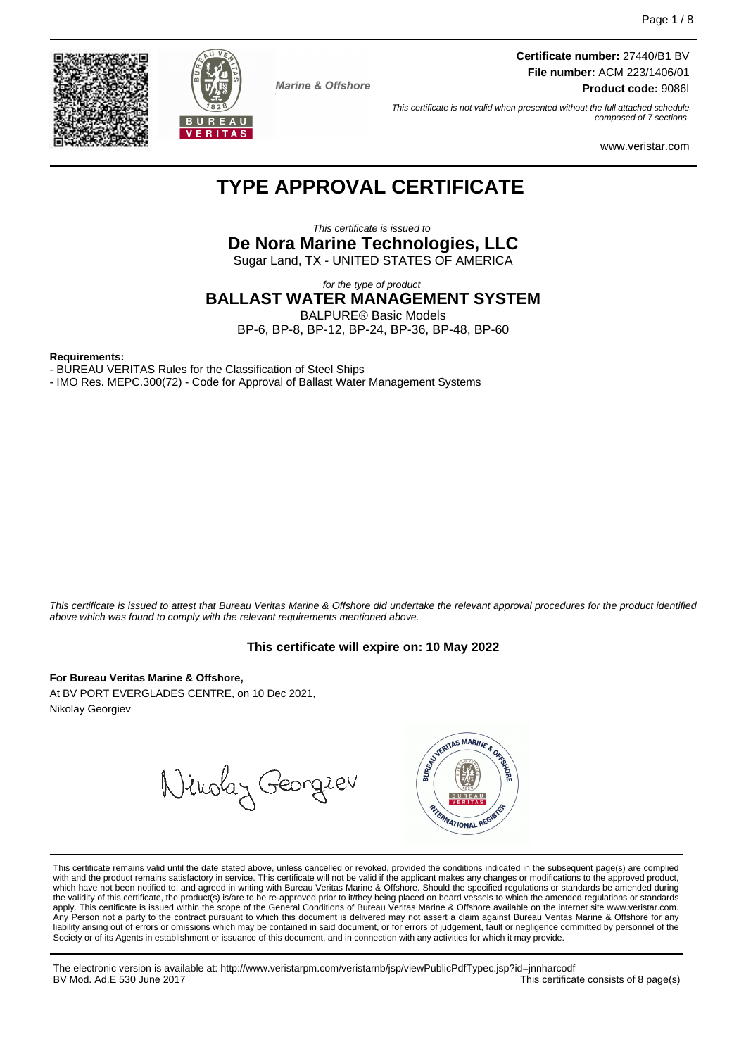**Certificate number:** 27440/B1 BV **File number:** ACM 223/1406/01 **Product code:** 9086I

This certificate is not valid when presented without the full attached schedule composed of 7 sections

www.veristar.com

# **TYPE APPROVAL CERTIFICATE**

**Marine & Offshore** 

This certificate is issued to **De Nora Marine Technologies, LLC** Sugar Land, TX - UNITED STATES OF AMERICA

for the type of product

**BALLAST WATER MANAGEMENT SYSTEM** BALPURE® Basic Models

BP-6, BP-8, BP-12, BP-24, BP-36, BP-48, BP-60

#### **Requirements:**

- BUREAU VERITAS Rules for the Classification of Steel Ships

- IMO Res. MEPC.300(72) - Code for Approval of Ballast Water Management Systems

This certificate is issued to attest that Bureau Veritas Marine & Offshore did undertake the relevant approval procedures for the product identified above which was found to comply with the relevant requirements mentioned above.

#### **This certificate will expire on: 10 May 2022**

**For Bureau Veritas Marine & Offshore,**

At BV PORT EVERGLADES CENTRE, on 10 Dec 2021, Nikolay Georgiev

Ninolay Georgieu



This certificate remains valid until the date stated above, unless cancelled or revoked, provided the conditions indicated in the subsequent page(s) are complied with and the product remains satisfactory in service. This certificate will not be valid if the applicant makes any changes or modifications to the approved product, which have not been notified to, and agreed in writing with Bureau Veritas Marine & Offshore. Should the specified regulations or standards be amended during<br>the validity of this certificate, the product(s) is/are to be re apply. This certificate is issued within the scope of the General Conditions of Bureau Veritas Marine & Offshore available on the internet site www.veristar.com. Any Person not a party to the contract pursuant to which this document is delivered may not assert a claim against Bureau Veritas Marine & Offshore for any liability arising out of errors or omissions which may be contained in said document, or for errors of judgement, fault or negligence committed by personnel of the<br>Society or of its Agents in establishment or issuance of t

The electronic version is available at: http://www.veristarpm.com/veristarnb/jsp/viewPublicPdfTypec.jsp?id=jnnharcodf This certificate consists of 8 page(s)



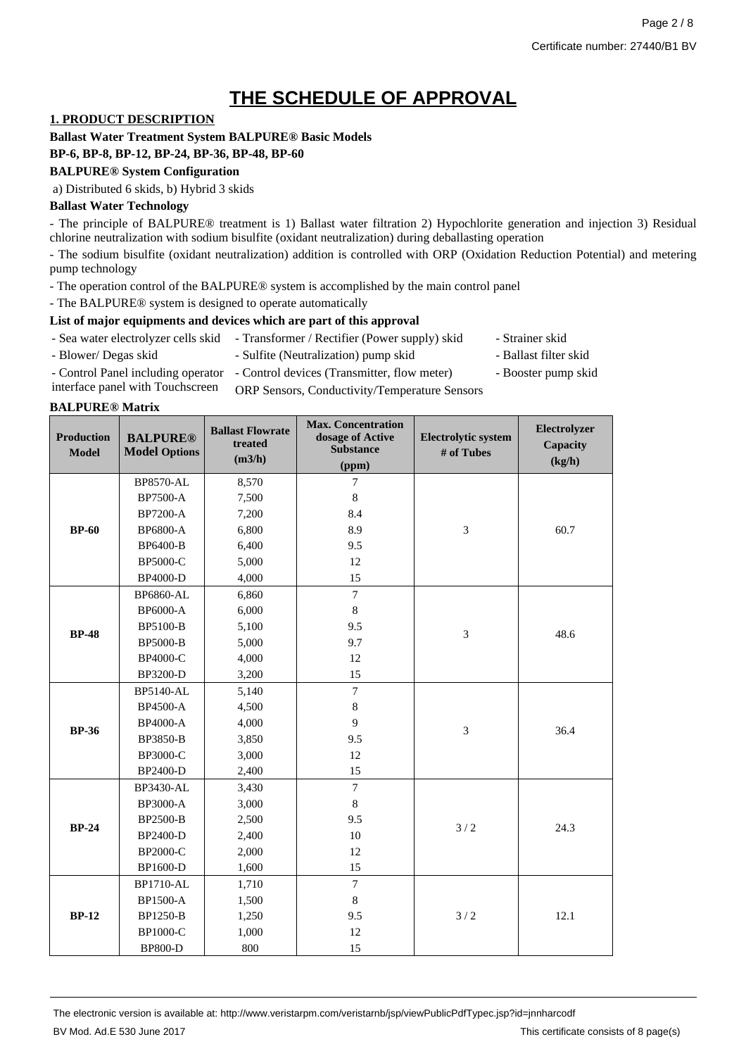# **THE SCHEDULE OF APPROVAL**

## **1. PRODUCT DESCRIPTION**

**Ballast Water Treatment System BALPURE® Basic Models**

## **BP-6, BP-8, BP-12, BP-24, BP-36, BP-48, BP-60**

#### **BALPURE® System Configuration**

a) Distributed 6 skids, b) Hybrid 3 skids

#### **Ballast Water Technology**

- The principle of BALPURE® treatment is 1) Ballast water filtration 2) Hypochlorite generation and injection 3) Residual chlorine neutralization with sodium bisulfite (oxidant neutralization) during deballasting operation

- The sodium bisulfite (oxidant neutralization) addition is controlled with ORP (Oxidation Reduction Potential) and metering pump technology

- The operation control of the BALPURE® system is accomplished by the main control panel

- The BALPURE® system is designed to operate automatically

#### **List of major equipments and devices which are part of this approval**

- Sea water electrolyzer cells skid Transformer / Rectifier (Power supply) skid Strainer skid
- 
- Blower/ Degas skid Sulfite (Neutralization) pump skid Ballast filter skid
- - - Booster pump skid
- Control Panel including operator Control devices (Transmitter, flow meter) interface panel with Touchscreen
	- ORP Sensors, Conductivity/Temperature Sensors

#### **BALPURE® Matrix**

| <b>Production</b><br><b>Model</b> | <b>BALPURE®</b><br><b>Model Options</b> | <b>Ballast Flowrate</b><br>treated<br>(m3/h) | <b>Max. Concentration</b><br>dosage of Active<br><b>Substance</b><br>(ppm) | <b>Electrolytic system</b><br># of Tubes | Electrolyzer<br>Capacity<br>(kg/h) |
|-----------------------------------|-----------------------------------------|----------------------------------------------|----------------------------------------------------------------------------|------------------------------------------|------------------------------------|
|                                   | <b>BP8570-AL</b>                        | 8,570                                        | $7\phantom{.0}$                                                            |                                          |                                    |
|                                   | BP7500-A                                | 7,500                                        | 8                                                                          |                                          |                                    |
|                                   | BP7200-A                                | 7,200                                        | 8.4                                                                        |                                          |                                    |
| <b>BP-60</b>                      | <b>BP6800-A</b>                         | 6,800                                        | 8.9                                                                        | $\mathfrak{Z}$                           | 60.7                               |
|                                   | BP6400-B                                | 6,400                                        | 9.5                                                                        |                                          |                                    |
|                                   | BP5000-C                                | 5,000                                        | 12                                                                         |                                          |                                    |
|                                   | BP4000-D                                | 4,000                                        | 15                                                                         |                                          |                                    |
|                                   | <b>BP6860-AL</b>                        | 6,860                                        | $\overline{7}$                                                             |                                          |                                    |
|                                   | <b>BP6000-A</b>                         | 6,000                                        | 8                                                                          |                                          |                                    |
| <b>BP-48</b>                      | BP5100-B                                | 5,100                                        | 9.5                                                                        | 3                                        | 48.6                               |
|                                   | <b>BP5000-B</b>                         | 5,000                                        | 9.7                                                                        |                                          |                                    |
|                                   | BP4000-C                                | 4,000                                        | 12                                                                         |                                          |                                    |
|                                   | BP3200-D                                | 3,200                                        | 15                                                                         |                                          |                                    |
|                                   | <b>BP5140-AL</b>                        | 5,140                                        | $\overline{7}$                                                             |                                          |                                    |
|                                   | BP4500-A                                | 4,500                                        | $\,8\,$                                                                    |                                          |                                    |
| <b>BP-36</b>                      | BP4000-A                                | 4,000                                        | 9                                                                          | 3                                        | 36.4                               |
|                                   | BP3850-B                                | 3,850                                        | 9.5                                                                        |                                          |                                    |
|                                   | BP3000-C                                | 3,000                                        | 12                                                                         |                                          |                                    |
|                                   | BP2400-D                                | 2,400                                        | 15                                                                         |                                          |                                    |
|                                   | BP3430-AL                               | 3,430                                        | $\overline{7}$                                                             |                                          |                                    |
|                                   | <b>BP3000-A</b>                         | 3,000                                        | $\,8\,$                                                                    |                                          |                                    |
| <b>BP-24</b>                      | <b>BP2500-B</b>                         | 2,500                                        | 9.5                                                                        | 3/2                                      | 24.3                               |
|                                   | BP2400-D                                | 2,400                                        | 10                                                                         |                                          |                                    |
|                                   | BP2000-C                                | 2,000                                        | 12                                                                         |                                          |                                    |
|                                   | BP1600-D                                | 1,600                                        | 15                                                                         |                                          |                                    |
|                                   | <b>BP1710-AL</b>                        | 1,710                                        | $\overline{7}$                                                             |                                          |                                    |
|                                   | <b>BP1500-A</b>                         | 1,500                                        | 8                                                                          |                                          |                                    |
| <b>BP-12</b>                      | BP1250-B                                | 1,250                                        | 9.5                                                                        | 3/2                                      | 12.1                               |
|                                   | BP1000-C                                | 1,000                                        | 12                                                                         |                                          |                                    |
|                                   | <b>BP800-D</b>                          | 800                                          | 15                                                                         |                                          |                                    |

The electronic version is available at: http://www.veristarpm.com/veristarnb/jsp/viewPublicPdfTypec.jsp?id=jnnharcodf BV Mod. Ad.E 530 June 2017 **This certificate consists of 8 page(s)** This certificate consists of 8 page(s)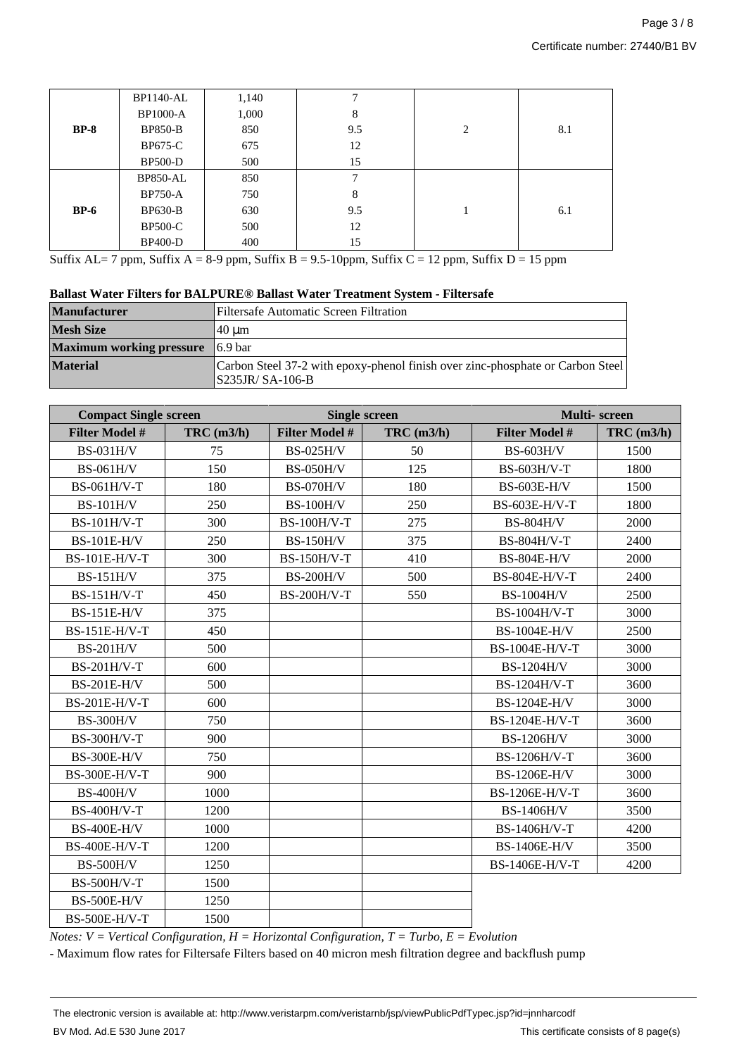|             | <b>BP1140-AL</b> | 1,140 | ┑   |                |     |
|-------------|------------------|-------|-----|----------------|-----|
|             | <b>BP1000-A</b>  | 1,000 | 8   |                |     |
| $BP-8$      | <b>BP850-B</b>   | 850   | 9.5 | $\overline{2}$ | 8.1 |
|             | <b>BP675-C</b>   | 675   | 12  |                |     |
|             | <b>BP500-D</b>   | 500   | 15  |                |     |
|             | <b>BP850-AL</b>  | 850   | ┑   |                |     |
|             | <b>BP750-A</b>   | 750   | 8   |                |     |
| <b>BP-6</b> | <b>BP630-B</b>   | 630   | 9.5 |                | 6.1 |
|             | <b>BP500-C</b>   | 500   | 12  |                |     |
|             | <b>BP400-D</b>   | 400   | 15  |                |     |

Suffix AL= 7 ppm, Suffix A = 8-9 ppm, Suffix B = 9.5-10ppm, Suffix C = 12 ppm, Suffix D = 15 ppm

|  |  | Ballast Water Filters for BALPURE <sup>®</sup> Ballast Water Treatment System - Filtersafe |
|--|--|--------------------------------------------------------------------------------------------|
|  |  |                                                                                            |

| <b>Manufacturer</b>                     | Filtersafe Automatic Screen Filtration                                                               |
|-----------------------------------------|------------------------------------------------------------------------------------------------------|
| <b>Mesh Size</b>                        | 40 um                                                                                                |
| <b>Maximum working pressure</b> 6.9 bar |                                                                                                      |
| <b>Material</b>                         | Carbon Steel 37-2 with epoxy-phenol finish over zinc-phosphate or Carbon Steel<br>$ S235JR/SA-106-B$ |

| <b>Compact Single screen</b> |              | <b>Single screen</b>  |                  | Multi-screen          |                  |
|------------------------------|--------------|-----------------------|------------------|-----------------------|------------------|
| <b>Filter Model #</b>        | $TRC$ (m3/h) | <b>Filter Model #</b> | $TRC$ (m $3/h$ ) | <b>Filter Model #</b> | $TRC$ (m $3/h$ ) |
| <b>BS-031H/V</b>             | 75           | <b>BS-025H/V</b>      | 50               | <b>BS-603H/V</b>      | 1500             |
| <b>BS-061H/V</b>             | 150          | <b>BS-050H/V</b>      | 125              | BS-603H/V-T           | 1800             |
| BS-061H/V-T                  | 180          | <b>BS-070H/V</b>      | 180              | <b>BS-603E-H/V</b>    | 1500             |
| <b>BS-101H/V</b>             | 250          | <b>BS-100H/V</b>      | 250              | BS-603E-H/V-T         | 1800             |
| <b>BS-101H/V-T</b>           | 300          | <b>BS-100H/V-T</b>    | 275              | <b>BS-804H/V</b>      | 2000             |
| <b>BS-101E-H/V</b>           | 250          | <b>BS-150H/V</b>      | 375              | BS-804H/V-T           | 2400             |
| <b>BS-101E-H/V-T</b>         | 300          | <b>BS-150H/V-T</b>    | 410              | <b>BS-804E-H/V</b>    | 2000             |
| <b>BS-151H/V</b>             | 375          | <b>BS-200H/V</b>      | 500              | BS-804E-H/V-T         | 2400             |
| <b>BS-151H/V-T</b>           | 450          | <b>BS-200H/V-T</b>    | 550              | <b>BS-1004H/V</b>     | 2500             |
| <b>BS-151E-H/V</b>           | 375          |                       |                  | BS-1004H/V-T          | 3000             |
| <b>BS-151E-H/V-T</b>         | 450          |                       |                  | <b>BS-1004E-H/V</b>   | 2500             |
| <b>BS-201H/V</b>             | 500          |                       |                  | BS-1004E-H/V-T        | 3000             |
| BS-201H/V-T                  | 600          |                       |                  | <b>BS-1204H/V</b>     | 3000             |
| <b>BS-201E-H/V</b>           | 500          |                       |                  | BS-1204H/V-T          | 3600             |
| BS-201E-H/V-T                | 600          |                       |                  | BS-1204E-H/V          | 3000             |
| <b>BS-300H/V</b>             | 750          |                       |                  | BS-1204E-H/V-T        | 3600             |
| <b>BS-300H/V-T</b>           | 900          |                       |                  | <b>BS-1206H/V</b>     | 3000             |
| <b>BS-300E-H/V</b>           | 750          |                       |                  | BS-1206H/V-T          | 3600             |
| BS-300E-H/V-T                | 900          |                       |                  | BS-1206E-H/V          | 3000             |
| <b>BS-400H/V</b>             | 1000         |                       |                  | BS-1206E-H/V-T        | 3600             |
| <b>BS-400H/V-T</b>           | 1200         |                       |                  | <b>BS-1406H/V</b>     | 3500             |
| <b>BS-400E-H/V</b>           | 1000         |                       |                  | BS-1406H/V-T          | 4200             |
| BS-400E-H/V-T                | 1200         |                       |                  | <b>BS-1406E-H/V</b>   | 3500             |
| <b>BS-500H/V</b>             | 1250         |                       |                  | BS-1406E-H/V-T        | 4200             |
| <b>BS-500H/V-T</b>           | 1500         |                       |                  |                       |                  |
| <b>BS-500E-H/V</b>           | 1250         |                       |                  |                       |                  |
| BS-500E-H/V-T                | 1500         |                       |                  |                       |                  |

*Notes: V = Vertical Configuration, H = Horizontal Configuration, T = Turbo, E = Evolution*

- Maximum flow rates for Filtersafe Filters based on 40 micron mesh filtration degree and backflush pump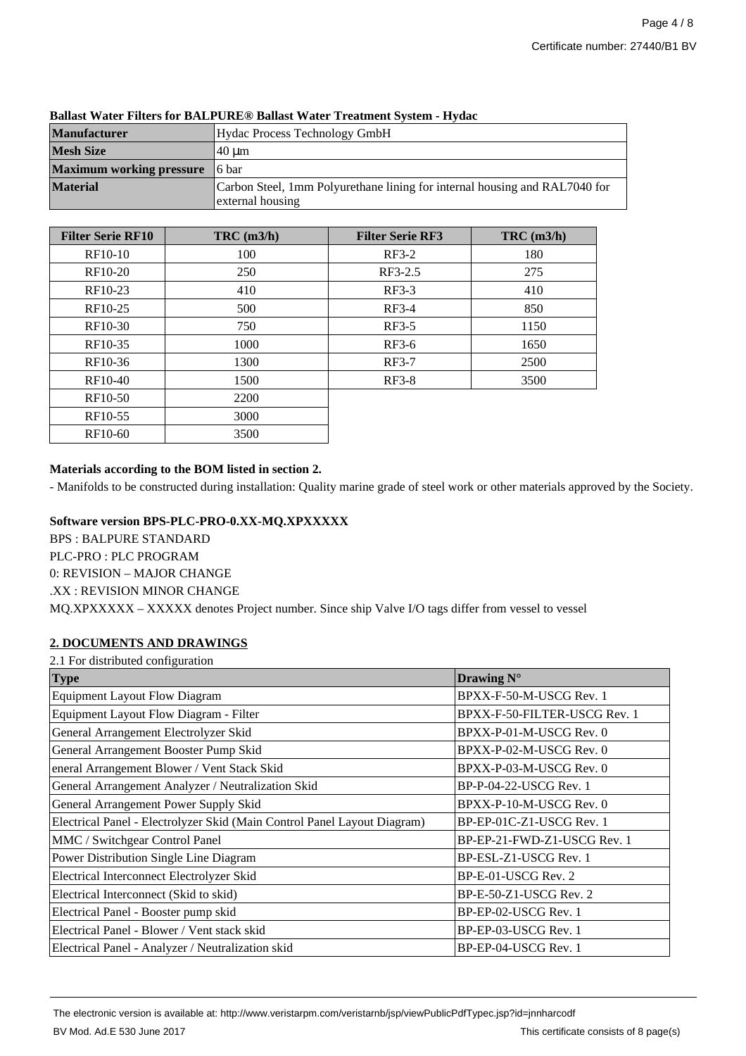| <b>Manufacturer</b><br>Hydac Process Technology GmbH |                                                                                                |
|------------------------------------------------------|------------------------------------------------------------------------------------------------|
| <b>Mesh Size</b><br>.40 um                           |                                                                                                |
| <b>Maximum working pressure</b>                      | ¶6 bar                                                                                         |
| <b>Material</b>                                      | Carbon Steel, 1mm Polyurethane lining for internal housing and RAL7040 for<br>external housing |

#### **Ballast Water Filters for BALPURE® Ballast Water Treatment System - Hydac**

| <b>Filter Serie RF10</b> | $TRC$ (m $3/h$ ) | <b>Filter Serie RF3</b> | $TRC$ (m3/h) |
|--------------------------|------------------|-------------------------|--------------|
| RF10-10                  | 100              | $RF3-2$                 | 180          |
| RF10-20                  | 250              | RF3-2.5                 | 275          |
| RF10-23                  | 410              | $RF3-3$                 | 410          |
| RF10-25                  | 500              | $RF3-4$                 | 850          |
| RF10-30                  | 750              | $RF3-5$                 | 1150         |
| RF10-35                  | 1000             | $RF3-6$                 | 1650         |
| RF10-36                  | 1300             | $RF3-7$                 | 2500         |
| RF10-40                  | 1500             | $RF3-8$                 | 3500         |
| RF10-50                  | 2200             |                         |              |
| RF10-55                  | 3000             |                         |              |
| RF10-60                  | 3500             |                         |              |

## **Materials according to the BOM listed in section 2.**

- Manifolds to be constructed during installation: Quality marine grade of steel work or other materials approved by the Society.

### **Software version BPS-PLC-PRO-0.XX-MQ.XPXXXXX**

BPS : BALPURE STANDARD PLC-PRO : PLC PROGRAM 0: REVISION – MAJOR CHANGE .XX : REVISION MINOR CHANGE MQ.XPXXXXX – XXXXX denotes Project number. Since ship Valve I/O tags differ from vessel to vessel

# **2. DOCUMENTS AND DRAWINGS**

| 2.1 For distributed configuration                                        |                              |
|--------------------------------------------------------------------------|------------------------------|
| <b>Type</b>                                                              | Drawing N°                   |
| <b>Equipment Layout Flow Diagram</b>                                     | BPXX-F-50-M-USCG Rev. 1      |
| Equipment Layout Flow Diagram - Filter                                   | BPXX-F-50-FILTER-USCG Rev. 1 |
| General Arrangement Electrolyzer Skid                                    | BPXX-P-01-M-USCG Rev. 0      |
| General Arrangement Booster Pump Skid                                    | BPXX-P-02-M-USCG Rev. 0      |
| eneral Arrangement Blower / Vent Stack Skid                              | BPXX-P-03-M-USCG Rev. 0      |
| General Arrangement Analyzer / Neutralization Skid                       | BP-P-04-22-USCG Rev. 1       |
| General Arrangement Power Supply Skid                                    | BPXX-P-10-M-USCG Rev. 0      |
| Electrical Panel - Electrolyzer Skid (Main Control Panel Layout Diagram) | BP-EP-01C-Z1-USCG Rev. 1     |
| MMC / Switchgear Control Panel                                           | BP-EP-21-FWD-Z1-USCG Rev. 1  |
| Power Distribution Single Line Diagram                                   | BP-ESL-Z1-USCG Rev. 1        |
| Electrical Interconnect Electrolyzer Skid                                | BP-E-01-USCG Rev. 2          |
| Electrical Interconnect (Skid to skid)                                   | $BP-E-50-Z1-USCG$ Rev. 2     |
| Electrical Panel - Booster pump skid                                     | BP-EP-02-USCG Rev. 1         |
| Electrical Panel - Blower / Vent stack skid                              | BP-EP-03-USCG Rev. 1         |
| Electrical Panel - Analyzer / Neutralization skid                        | BP-EP-04-USCG Rev. 1         |

The electronic version is available at: http://www.veristarpm.com/veristarnb/jsp/viewPublicPdfTypec.jsp?id=jnnharcodf BV Mod. Ad.E 530 June 2017 **This certificate consists of 8 page(s)** This certificate consists of 8 page(s)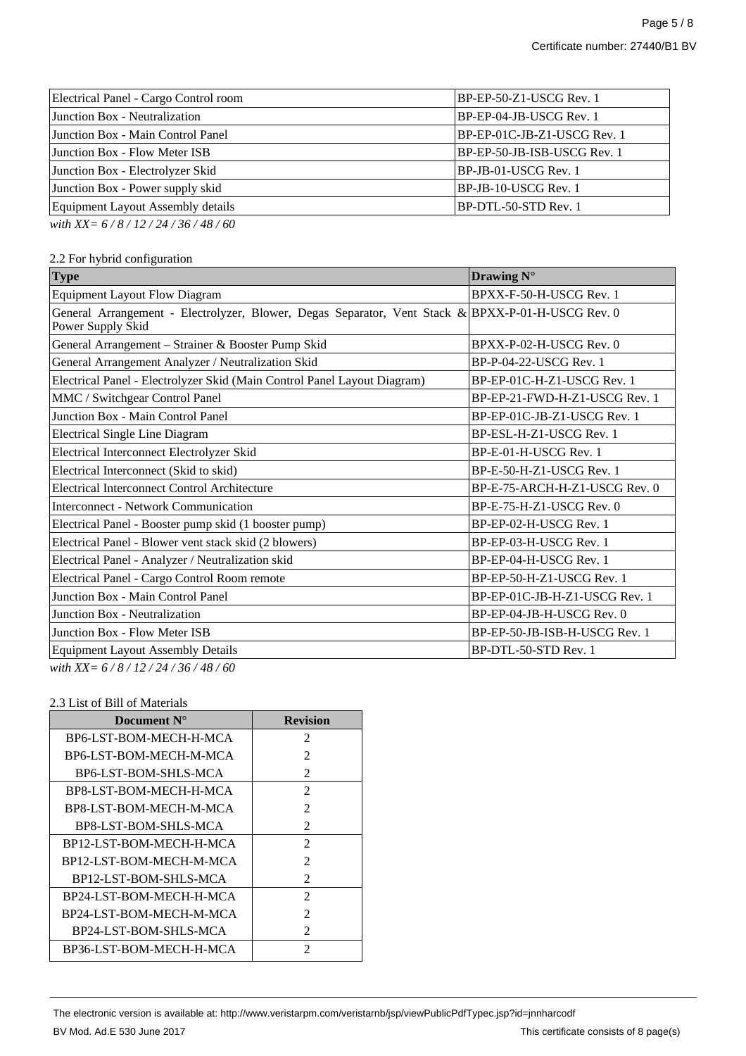| Electrical Panel - Cargo Control room | $ BP-EP-50-Z1-USCG Rev. 1$     |
|---------------------------------------|--------------------------------|
| Junction Box - Neutralization         | BP-EP-04-JB-USCG Rev. 1        |
| Junction Box - Main Control Panel     | $ BP-EP-01C-JB-Z1-USCG Rev. 1$ |
| Junction Box - Flow Meter ISB         | BP-EP-50-JB-ISB-USCG Rev. 1    |
| Junction Box - Electrolyzer Skid      | BP-JB-01-USCG Rev. 1           |
| Junction Box - Power supply skid      | BP-JB-10-USCG Rev. 1           |
| Equipment Layout Assembly details     | BP-DTL-50-STD Rev. 1           |
| with XX= $6/8/12/24/36/48/60$         |                                |

## 2.2 For hybrid configuration

| <b>Type</b>                                                                                                               | Drawing N°                    |
|---------------------------------------------------------------------------------------------------------------------------|-------------------------------|
| <b>Equipment Layout Flow Diagram</b>                                                                                      | BPXX-F-50-H-USCG Rev. 1       |
| General Arrangement - Electrolyzer, Blower, Degas Separator, Vent Stack & BPXX-P-01-H-USCG Rev. 0<br>Power Supply Skid    |                               |
| General Arrangement - Strainer & Booster Pump Skid                                                                        | BPXX-P-02-H-USCG Rev. 0       |
| General Arrangement Analyzer / Neutralization Skid                                                                        | BP-P-04-22-USCG Rev. 1        |
| Electrical Panel - Electrolyzer Skid (Main Control Panel Layout Diagram)                                                  | BP-EP-01C-H-Z1-USCG Rev. 1    |
| MMC / Switchgear Control Panel                                                                                            | BP-EP-21-FWD-H-Z1-USCG Rev. 1 |
| Junction Box - Main Control Panel                                                                                         | BP-EP-01C-JB-Z1-USCG Rev. 1   |
| <b>Electrical Single Line Diagram</b>                                                                                     | BP-ESL-H-Z1-USCG Rev. 1       |
| Electrical Interconnect Electrolyzer Skid                                                                                 | BP-E-01-H-USCG Rev. 1         |
| Electrical Interconnect (Skid to skid)                                                                                    | BP-E-50-H-Z1-USCG Rev. 1      |
| Electrical Interconnect Control Architecture                                                                              | BP-E-75-ARCH-H-Z1-USCG Rev. 0 |
| <b>Interconnect - Network Communication</b>                                                                               | BP-E-75-H-Z1-USCG Rev. 0      |
| Electrical Panel - Booster pump skid (1 booster pump)                                                                     | BP-EP-02-H-USCG Rev. 1        |
| Electrical Panel - Blower vent stack skid (2 blowers)                                                                     | BP-EP-03-H-USCG Rev. 1        |
| Electrical Panel - Analyzer / Neutralization skid                                                                         | BP-EP-04-H-USCG Rev. 1        |
| Electrical Panel - Cargo Control Room remote                                                                              | BP-EP-50-H-Z1-USCG Rev. 1     |
| Junction Box - Main Control Panel                                                                                         | BP-EP-01C-JB-H-Z1-USCG Rev. 1 |
| Junction Box - Neutralization                                                                                             | BP-EP-04-JB-H-USCG Rev. 0     |
| Junction Box - Flow Meter ISB                                                                                             | BP-EP-50-JB-ISB-H-USCG Rev. 1 |
| <b>Equipment Layout Assembly Details</b><br>$1.1 \text{ W}$ $(1.0 \text{112} \text{121} \text{136} \text{140} \text{160}$ | BP-DTL-50-STD Rev. 1          |

*with XX= 6 / 8 / 12 / 24 / 36 / 48 / 60*

#### 2.3 List of Bill of Materials

| Document $N^{\circ}$    | <b>Revision</b>             |
|-------------------------|-----------------------------|
| BP6-LST-BOM-MECH-H-MCA  | 2                           |
| BP6-LST-BOM-MECH-M-MCA  | 2                           |
| BP6-LST-BOM-SHLS-MCA    | $\mathfrak{D}$              |
| BP8-LST-BOM-MECH-H-MCA  | $\mathfrak{D}$              |
| BP8-LST-BOM-MECH-M-MCA  | $\mathcal{L}$               |
| BP8-LST-BOM-SHLS-MCA    | $\mathcal{L}$               |
| BP12-LST-BOM-MECH-H-MCA | $\mathcal{L}$               |
| BP12-LST-BOM-MECH-M-MCA | $\mathcal{D}_{\mathcal{L}}$ |
| BP12-LST-BOM-SHLS-MCA   | $\mathcal{L}$               |
| BP24-LST-BOM-MECH-H-MCA | 2                           |
| BP24-LST-BOM-MECH-M-MCA | $\mathcal{L}$               |
| BP24-LST-BOM-SHLS-MCA   | $\mathcal{L}$               |
| BP36-LST-BOM-MECH-H-MCA | 2                           |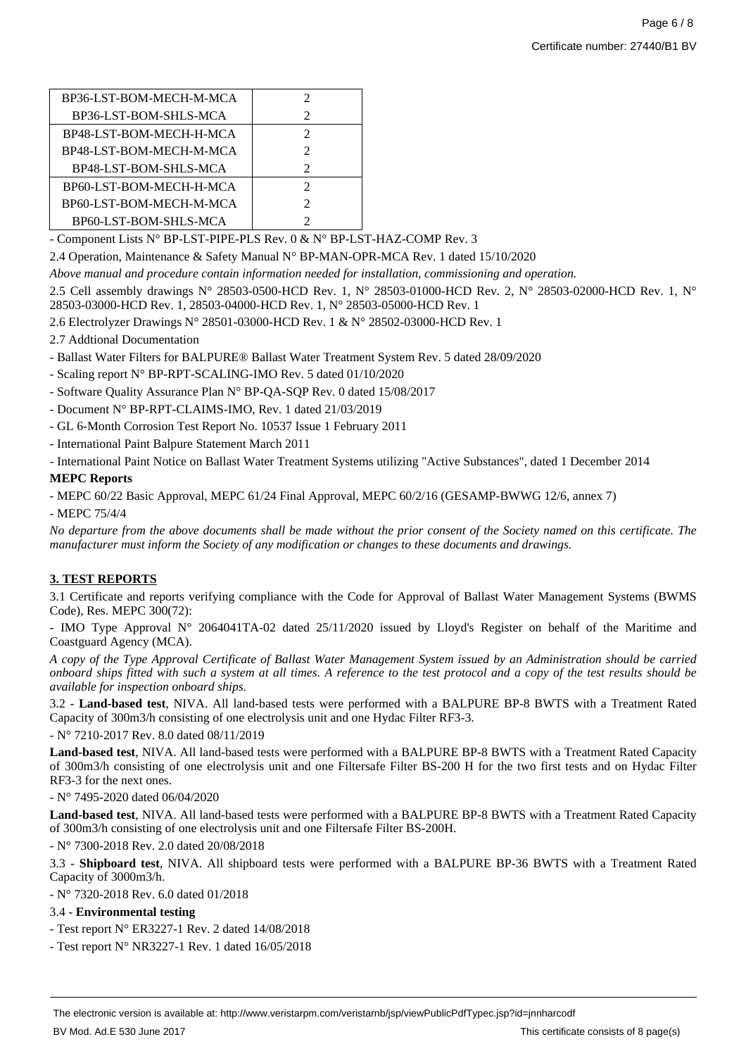| BP36-LST-BOM-MECH-M-MCA | 2                           |
|-------------------------|-----------------------------|
| BP36-LST-BOM-SHLS-MCA   | 2                           |
| BP48-LST-BOM-MECH-H-MCA | 2                           |
| BP48-LST-BOM-MECH-M-MCA | 2                           |
| BP48-LST-BOM-SHLS-MCA   | $\mathcal{D}_{\mathcal{A}}$ |
| BP60-LST-BOM-MECH-H-MCA | 2                           |
| BP60-LST-BOM-MECH-M-MCA | 2                           |
| BP60-LST-BOM-SHLS-MCA   |                             |
|                         |                             |

- Component Lists N° BP-LST-PIPE-PLS Rev. 0 & N° BP-LST-HAZ-COMP Rev. 3

2.4 Operation, Maintenance & Safety Manual N° BP-MAN-OPR-MCA Rev. 1 dated 15/10/2020

*Above manual and procedure contain information needed for installation, commissioning and operation.*

2.5 Cell assembly drawings N° 28503-0500-HCD Rev. 1, N° 28503-01000-HCD Rev. 2, N° 28503-02000-HCD Rev. 1, N° 28503-03000-HCD Rev. 1, 28503-04000-HCD Rev. 1, N° 28503-05000-HCD Rev. 1

2.6 Electrolyzer Drawings N° 28501-03000-HCD Rev. 1 & N° 28502-03000-HCD Rev. 1

2.7 Addtional Documentation

- Ballast Water Filters for BALPURE® Ballast Water Treatment System Rev. 5 dated 28/09/2020

- Scaling report N° BP-RPT-SCALING-IMO Rev. 5 dated 01/10/2020

- Software Quality Assurance Plan N° BP-QA-SQP Rev. 0 dated 15/08/2017

- Document N° BP-RPT-CLAIMS-IMO, Rev. 1 dated 21/03/2019

- GL 6-Month Corrosion Test Report No. 10537 Issue 1 February 2011

- International Paint Balpure Statement March 2011

- International Paint Notice on Ballast Water Treatment Systems utilizing "Active Substances", dated 1 December 2014

**MEPC Reports**

- MEPC 60/22 Basic Approval, MEPC 61/24 Final Approval, MEPC 60/2/16 (GESAMP-BWWG 12/6, annex 7)

- MEPC 75/4/4

*No departure from the above documents shall be made without the prior consent of the Society named on this certificate. The manufacturer must inform the Society of any modification or changes to these documents and drawings.*

# **3. TEST REPORTS**

3.1 Certificate and reports verifying compliance with the Code for Approval of Ballast Water Management Systems (BWMS Code), Res. MEPC 300(72):

- IMO Type Approval N° 2064041TA-02 dated 25/11/2020 issued by Lloyd's Register on behalf of the Maritime and Coastguard Agency (MCA).

*A copy of the Type Approval Certificate of Ballast Water Management System issued by an Administration should be carried onboard ships fitted with such a system at all times. A reference to the test protocol and a copy of the test results should be available for inspection onboard ships.*

3.2 - **Land-based test**, NIVA. All land-based tests were performed with a BALPURE BP-8 BWTS with a Treatment Rated Capacity of 300m3/h consisting of one electrolysis unit and one Hydac Filter RF3-3.

- N° 7210-2017 Rev. 8.0 dated 08/11/2019

**Land-based test**, NIVA. All land-based tests were performed with a BALPURE BP-8 BWTS with a Treatment Rated Capacity of 300m3/h consisting of one electrolysis unit and one Filtersafe Filter BS-200 H for the two first tests and on Hydac Filter RF3-3 for the next ones.

- N° 7495-2020 dated 06/04/2020

**Land-based test**, NIVA. All land-based tests were performed with a BALPURE BP-8 BWTS with a Treatment Rated Capacity of 300m3/h consisting of one electrolysis unit and one Filtersafe Filter BS-200H.

- N° 7300-2018 Rev. 2.0 dated 20/08/2018

3.3 - **Shipboard test**, NIVA. All shipboard tests were performed with a BALPURE BP-36 BWTS with a Treatment Rated Capacity of 3000m3/h.

- N° 7320-2018 Rev. 6.0 dated 01/2018

#### 3.4 - **Environmental testing**

- Test report N° ER3227-1 Rev. 2 dated 14/08/2018
- Test report N° NR3227-1 Rev. 1 dated 16/05/2018

The electronic version is available at: http://www.veristarpm.com/veristarnb/jsp/viewPublicPdfTypec.jsp?id=jnnharcodf BV Mod. Ad.E 530 June 2017 **This certificate consists of 8 page(s)** BV Mod. Ad.E 530 June 2017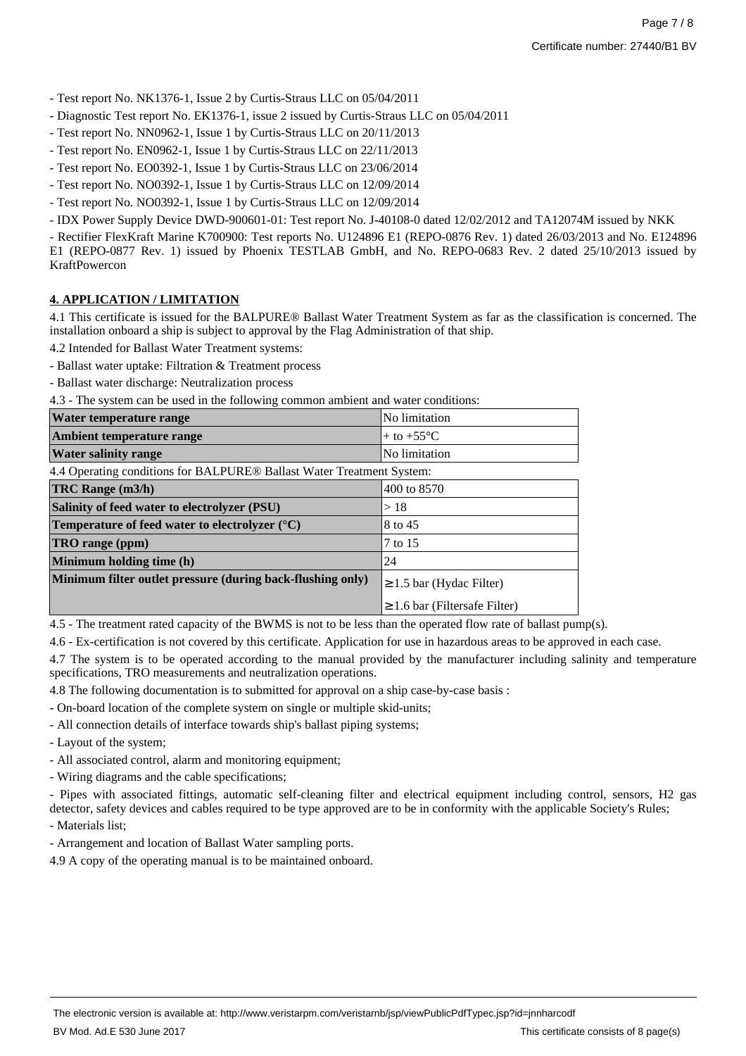- Test report No. NK1376-1, Issue 2 by Curtis-Straus LLC on 05/04/2011

- Diagnostic Test report No. EK1376-1, issue 2 issued by Curtis-Straus LLC on 05/04/2011
- Test report No. NN0962-1, Issue 1 by Curtis-Straus LLC on 20/11/2013
- Test report No. EN0962-1, Issue 1 by Curtis-Straus LLC on 22/11/2013
- Test report No. EO0392-1, Issue 1 by Curtis-Straus LLC on 23/06/2014
- Test report No. NO0392-1, Issue 1 by Curtis-Straus LLC on 12/09/2014
- Test report No. NO0392-1, Issue 1 by Curtis-Straus LLC on 12/09/2014

- IDX Power Supply Device DWD-900601-01: Test report No. J-40108-0 dated 12/02/2012 and TA12074M issued by NKK

- Rectifier FlexKraft Marine K700900: Test reports No. U124896 E1 (REPO-0876 Rev. 1) dated 26/03/2013 and No. E124896 E1 (REPO-0877 Rev. 1) issued by Phoenix TESTLAB GmbH, and No. REPO-0683 Rev. 2 dated 25/10/2013 issued by KraftPowercon

### **4. APPLICATION / LIMITATION**

4.1 This certificate is issued for the BALPURE® Ballast Water Treatment System as far as the classification is concerned. The installation onboard a ship is subject to approval by the Flag Administration of that ship.

- 4.2 Intended for Ballast Water Treatment systems:
- Ballast water uptake: Filtration & Treatment process
- Ballast water discharge: Neutralization process

4.3 - The system can be used in the following common ambient and water conditions:

| Water temperature range     | No limitation          |
|-----------------------------|------------------------|
| Ambient temperature range   | $+$ to $+55^{\circ}$ C |
| <b>Water salinity range</b> | No limitation          |
|                             |                        |

4.4 Operating conditions for BALPURE® Ballast Water Treatment System:

| TRC Range (m3/h)                                           | 400 to 8570                        |
|------------------------------------------------------------|------------------------------------|
| Salinity of feed water to electrolyzer (PSU)               | >18                                |
| Temperature of feed water to electrolyzer $(^{\circ}C)$    | 8 to 45                            |
| TRO range (ppm)                                            | 7 to 15                            |
| Minimum holding time (h)                                   | 24                                 |
| Minimum filter outlet pressure (during back-flushing only) | $\geq 1.5$ bar (Hydac Filter)      |
|                                                            | $\geq 1.6$ bar (Filtersafe Filter) |

4.5 - The treatment rated capacity of the BWMS is not to be less than the operated flow rate of ballast pump(s).

4.6 - Ex-certification is not covered by this certificate. Application for use in hazardous areas to be approved in each case.

4.7 The system is to be operated according to the manual provided by the manufacturer including salinity and temperature specifications, TRO measurements and neutralization operations.

4.8 The following documentation is to submitted for approval on a ship case-by-case basis :

- On-board location of the complete system on single or multiple skid-units;
- All connection details of interface towards ship's ballast piping systems;
- Layout of the system;
- All associated control, alarm and monitoring equipment;
- Wiring diagrams and the cable specifications;

- Pipes with associated fittings, automatic self-cleaning filter and electrical equipment including control, sensors, H2 gas detector, safety devices and cables required to be type approved are to be in conformity with the applicable Society's Rules;

- Materials list;

- Arrangement and location of Ballast Water sampling ports.

4.9 A copy of the operating manual is to be maintained onboard.